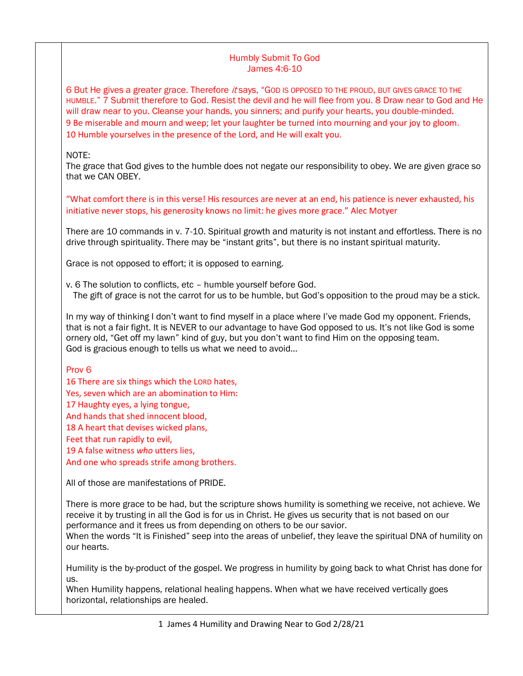## Humbly Submit To God James 4:6-10

6 But He gives a greater grace. Therefore it says, "GOD IS OPPOSED TO THE PROUD, BUT GIVES GRACE TO THE HUMBLE." 7 Submit therefore to God. Resist the devil and he will flee from you. 8 Draw near to God and He will draw near to you. Cleanse your hands, you sinners; and purify your hearts, you double-minded. 9 Be miserable and mourn and weep; let your laughter be turned into mourning and your joy to gloom. 10 Humble yourselves in the presence of the Lord, and He will exalt you.

## NOTE:

The grace that God gives to the humble does not negate our responsibility to obey. We are given grace so that we CAN OBEY.

"What comfort there is in this verse! His resources are never at an end, his patience is never exhausted, his initiative never stops, his generosity knows no limit: he gives more grace." Alec Motyer

There are 10 commands in v. 7-10. Spiritual growth and maturity is not instant and effortless. There is no drive through spirituality. There may be "instant grits", but there is no instant spiritual maturity.

Grace is not opposed to effort; it is opposed to earning.

v. 6 The solution to conflicts, etc – humble yourself before God. The gift of grace is not the carrot for us to be humble, but God's opposition to the proud may be a stick.

In my way of thinking I don't want to find myself in a place where I've made God my opponent. Friends, that is not a fair fight. It is NEVER to our advantage to have God opposed to us. It's not like God is some ornery old, "Get off my lawn" kind of guy, but you don't want to find Him on the opposing team. God is gracious enough to tells us what we need to avoid…

### Prov 6

16 There are six things which the LORD hates, Yes, seven which are an abomination to Him: 17 Haughty eyes, a lying tongue, And hands that shed innocent blood, 18 A heart that devises wicked plans, Feet that run rapidly to evil, 19 A false witness *who* utters lies, And one who spreads strife among brothers.

All of those are manifestations of PRIDE.

There is more grace to be had, but the scripture shows humility is something we receive, not achieve. We receive it by trusting in all the God is for us in Christ. He gives us security that is not based on our performance and it frees us from depending on others to be our savior.

When the words "It is Finished" seep into the areas of unbelief, they leave the spiritual DNA of humility on our hearts.

Humility is the by-product of the gospel. We progress in humility by going back to what Christ has done for us.

When Humility happens, relational healing happens. When what we have received vertically goes horizontal, relationships are healed.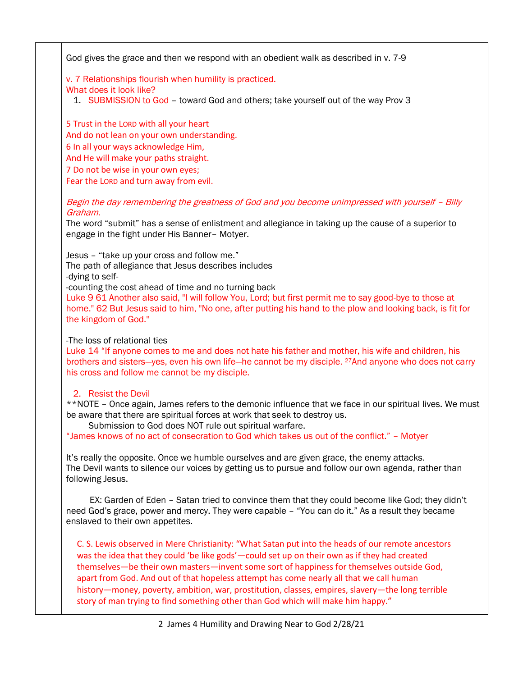God gives the grace and then we respond with an obedient walk as described in v. 7-9

v. 7 Relationships flourish when humility is practiced.

What does it look like?

1. SUBMISSION to God – toward God and others; take yourself out of the way Prov 3

5 Trust in the LORD with all your heart And do not lean on your own understanding. 6 In all your ways acknowledge Him, And He will make your paths straight. 7 Do not be wise in your own eyes; Fear the LORD and turn away from evil.

Begin the day remembering the greatness of God and you become unimpressed with yourself – Billy Graham.

The word "submit" has a sense of enlistment and allegiance in taking up the cause of a superior to engage in the fight under His Banner– Motyer.

Jesus – "take up your cross and follow me."

The path of allegiance that Jesus describes includes

-dying to self-

-counting the cost ahead of time and no turning back

Luke 9 61 Another also said, "I will follow You, Lord; but first permit me to say good-bye to those at home." 62 But Jesus said to him, "No one, after putting his hand to the plow and looking back, is fit for the kingdom of God."

#### -The loss of relational ties

Luke 14 "If anyone comes to me and does not hate his father and mother, his wife and children, his brothers and sisters—yes, even his own life—he cannot be my disciple. <sup>27</sup>And anyone who does not carry his cross and follow me cannot be my disciple.

# 2. Resist the Devil

\*\*NOTE – Once again, James refers to the demonic influence that we face in our spiritual lives. We must be aware that there are spiritual forces at work that seek to destroy us.

Submission to God does NOT rule out spiritual warfare.

"James knows of no act of consecration to God which takes us out of the conflict." – Motyer

It's really the opposite. Once we humble ourselves and are given grace, the enemy attacks. The Devil wants to silence our voices by getting us to pursue and follow our own agenda, rather than following Jesus.

 EX: Garden of Eden – Satan tried to convince them that they could become like God; they didn't need God's grace, power and mercy. They were capable – "You can do it." As a result they became enslaved to their own appetites.

C. S. Lewis observed in Mere Christianity: "What Satan put into the heads of our remote ancestors was the idea that they could 'be like gods'—could set up on their own as if they had created themselves—be their own masters—invent some sort of happiness for themselves outside God, apart from God. And out of that hopeless attempt has come nearly all that we call human history—money, poverty, ambition, war, prostitution, classes, empires, slavery—the long terrible story of man trying to find something other than God which will make him happy."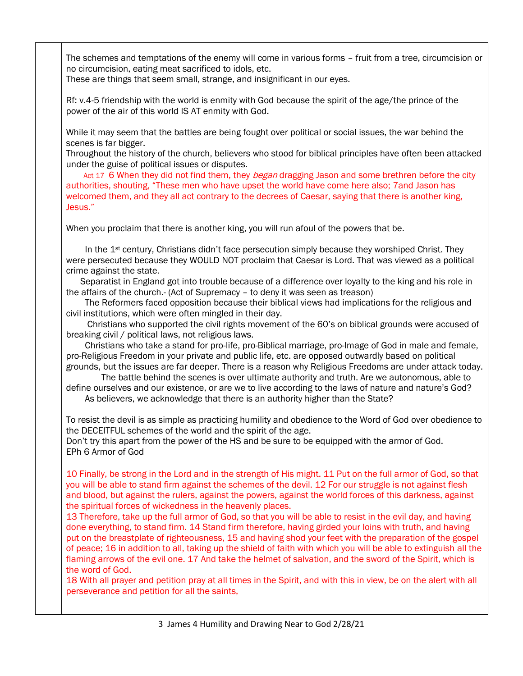The schemes and temptations of the enemy will come in various forms – fruit from a tree, circumcision or no circumcision, eating meat sacrificed to idols, etc.

These are things that seem small, strange, and insignificant in our eyes.

Rf: v.4-5 friendship with the world is enmity with God because the spirit of the age/the prince of the power of the air of this world IS AT enmity with God.

While it may seem that the battles are being fought over political or social issues, the war behind the scenes is far bigger.

Throughout the history of the church, believers who stood for biblical principles have often been attacked under the guise of political issues or disputes.

Act 17 6 When they did not find them, they *began* dragging Jason and some brethren before the city authorities, shouting, "These men who have upset the world have come here also; 7and Jason has welcomed them, and they all act contrary to the decrees of Caesar, saying that there is another king, Jesus."

When you proclaim that there is another king, you will run afoul of the powers that be.

In the 1<sup>st</sup> century, Christians didn't face persecution simply because they worshiped Christ. They were persecuted because they WOULD NOT proclaim that Caesar is Lord. That was viewed as a political crime against the state.

 Separatist in England got into trouble because of a difference over loyalty to the king and his role in the affairs of the church.- (Act of Supremacy – to deny it was seen as treason)

 The Reformers faced opposition because their biblical views had implications for the religious and civil institutions, which were often mingled in their day.

 Christians who supported the civil rights movement of the 60's on biblical grounds were accused of breaking civil / political laws, not religious laws.

 Christians who take a stand for pro-life, pro-Biblical marriage, pro-Image of God in male and female, pro-Religious Freedom in your private and public life, etc. are opposed outwardly based on political grounds, but the issues are far deeper. There is a reason why Religious Freedoms are under attack today.

 The battle behind the scenes is over ultimate authority and truth. Are we autonomous, able to define ourselves and our existence, or are we to live according to the laws of nature and nature's God?

As believers, we acknowledge that there is an authority higher than the State?

To resist the devil is as simple as practicing humility and obedience to the Word of God over obedience to the DECEITFUL schemes of the world and the spirit of the age.

Don't try this apart from the power of the HS and be sure to be equipped with the armor of God. EPh 6 Armor of God

10 Finally, be strong in the Lord and in the strength of His might. 11 Put on the full armor of God, so that you will be able to stand firm against the schemes of the devil. 12 For our struggle is not against flesh and blood, but against the rulers, against the powers, against the world forces of this darkness, against the spiritual forces of wickedness in the heavenly places.

13 Therefore, take up the full armor of God, so that you will be able to resist in the evil day, and having done everything, to stand firm. 14 Stand firm therefore, having girded your loins with truth, and having put on the breastplate of righteousness, 15 and having shod your feet with the preparation of the gospel of peace; 16 in addition to all, taking up the shield of faith with which you will be able to extinguish all the flaming arrows of the evil one. 17 And take the helmet of salvation, and the sword of the Spirit, which is the word of God.

18 With all prayer and petition pray at all times in the Spirit, and with this in view, be on the alert with all perseverance and petition for all the saints,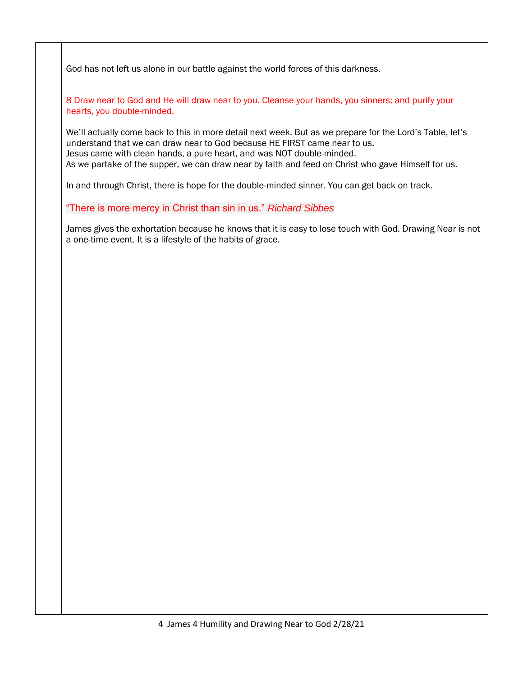God has not left us alone in our battle against the world forces of this darkness.

8 Draw near to God and He will draw near to you. Cleanse your hands, you sinners; and purify your hearts, you double-minded.

We'll actually come back to this in more detail next week. But as we prepare for the Lord's Table, let's understand that we can draw near to God because HE FIRST came near to us. Jesus came with clean hands, a pure heart, and was NOT double-minded. As we partake of the supper, we can draw near by faith and feed on Christ who gave Himself for us.

In and through Christ, there is hope for the double-minded sinner. You can get back on track.

"There is more mercy in Christ than sin in us." *Richard Sibbes*

James gives the exhortation because he knows that it is easy to lose touch with God. Drawing Near is not a one-time event. It is a lifestyle of the habits of grace.